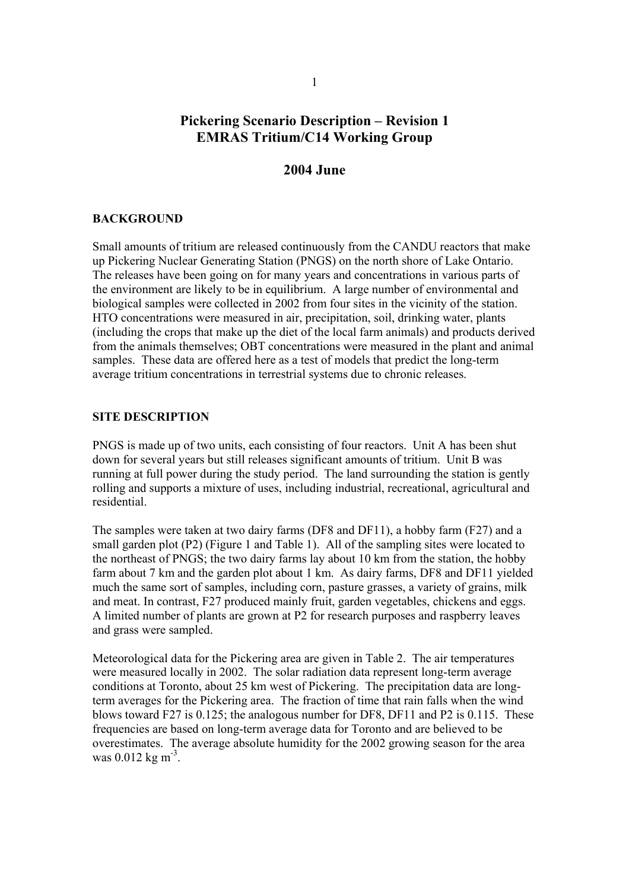# **Pickering Scenario Description – Revision 1 EMRAS Tritium/C14 Working Group**

## **2004 June**

#### **BACKGROUND**

Small amounts of tritium are released continuously from the CANDU reactors that make up Pickering Nuclear Generating Station (PNGS) on the north shore of Lake Ontario. The releases have been going on for many years and concentrations in various parts of the environment are likely to be in equilibrium. A large number of environmental and biological samples were collected in 2002 from four sites in the vicinity of the station. HTO concentrations were measured in air, precipitation, soil, drinking water, plants (including the crops that make up the diet of the local farm animals) and products derived from the animals themselves; OBT concentrations were measured in the plant and animal samples. These data are offered here as a test of models that predict the long-term average tritium concentrations in terrestrial systems due to chronic releases.

#### **SITE DESCRIPTION**

PNGS is made up of two units, each consisting of four reactors. Unit A has been shut down for several years but still releases significant amounts of tritium. Unit B was running at full power during the study period. The land surrounding the station is gently rolling and supports a mixture of uses, including industrial, recreational, agricultural and residential.

The samples were taken at two dairy farms (DF8 and DF11), a hobby farm (F27) and a small garden plot (P2) (Figure 1 and Table 1). All of the sampling sites were located to the northeast of PNGS; the two dairy farms lay about 10 km from the station, the hobby farm about 7 km and the garden plot about 1 km.As dairy farms, DF8 and DF11 yielded much the same sort of samples, including corn, pasture grasses, a variety of grains, milk and meat. In contrast, F27 produced mainly fruit, garden vegetables, chickens and eggs. A limited number of plants are grown at P2 for research purposes and raspberry leaves and grass were sampled.

Meteorological data for the Pickering area are given in Table 2. The air temperatures were measured locally in 2002. The solar radiation data represent long-term average conditions at Toronto, about 25 km west of Pickering. The precipitation data are longterm averages for the Pickering area. The fraction of time that rain falls when the wind blows toward F27 is 0.125; the analogous number for DF8, DF11 and P2 is 0.115. These frequencies are based on long-term average data for Toronto and are believed to be overestimates. The average absolute humidity for the 2002 growing season for the area was  $0.012 \text{ kg m}^{-3}$ .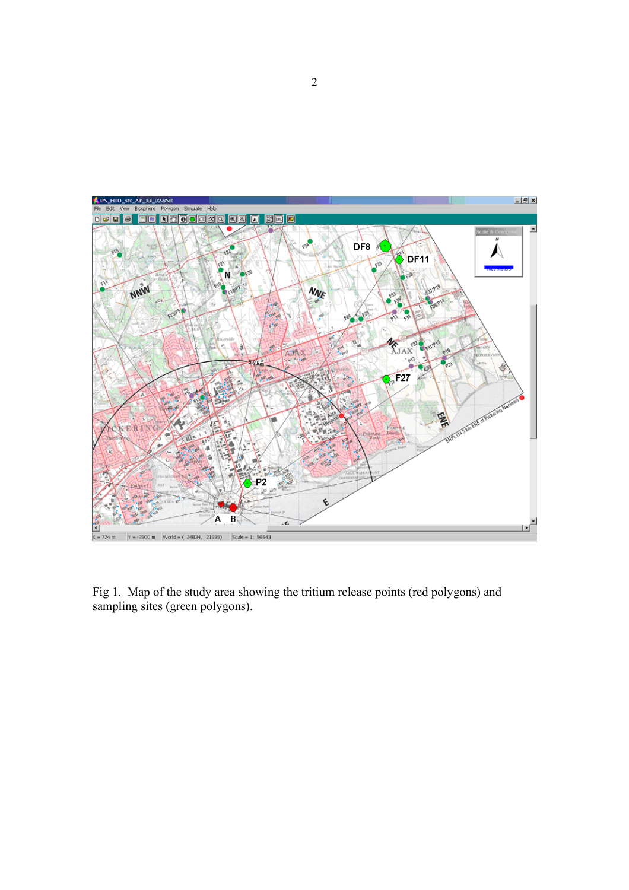

Fig 1. Map of the study area showing the tritium release points (red polygons) and sampling sites (green polygons).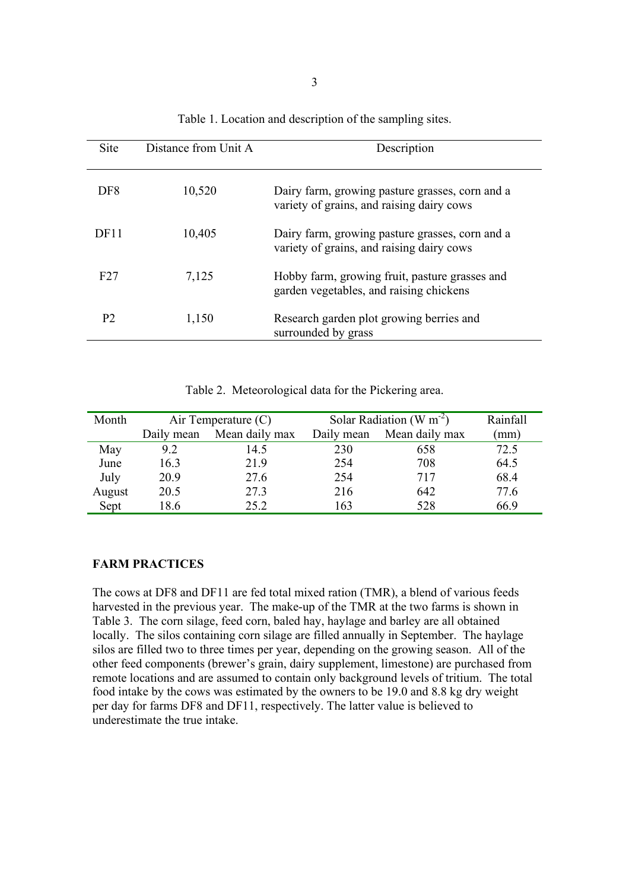| Site             | Distance from Unit A | Description                                                                                  |
|------------------|----------------------|----------------------------------------------------------------------------------------------|
| DF8              | 10,520               | Dairy farm, growing pasture grasses, corn and a<br>variety of grains, and raising dairy cows |
| DF <sub>11</sub> | 10,405               | Dairy farm, growing pasture grasses, corn and a<br>variety of grains, and raising dairy cows |
| F27              | 7,125                | Hobby farm, growing fruit, pasture grasses and<br>garden vegetables, and raising chickens    |
| P <sub>2</sub>   | 1,150                | Research garden plot growing berries and<br>surrounded by grass                              |

Table 1. Location and description of the sampling sites.

| Table 2. Meteorological data for the Pickering area. |  |  |  |  |
|------------------------------------------------------|--|--|--|--|
|------------------------------------------------------|--|--|--|--|

| Month  | Air Temperature $(C)$ |                | Solar Radiation (W $m^{-2}$ ) | Rainfall       |      |
|--------|-----------------------|----------------|-------------------------------|----------------|------|
|        | Daily mean            | Mean daily max | Daily mean                    | Mean daily max | (mm) |
| May    | 9.2                   | 14.5           | 230                           | 658            | 72.5 |
| June   | 16.3                  | 21.9           | 254                           | 708            | 64.5 |
| July   | 20.9                  | 27.6           | 254                           | 717            | 68.4 |
| August | 20.5                  | 27.3           | 216                           | 642            | 77.6 |
| Sept   | 18.6                  | 25.2           | 163                           | 528            | 66.9 |

#### **FARM PRACTICES**

The cows at DF8 and DF11 are fed total mixed ration (TMR), a blend of various feeds harvested in the previous year. The make-up of the TMR at the two farms is shown in Table 3. The corn silage, feed corn, baled hay, haylage and barley are all obtained locally. The silos containing corn silage are filled annually in September. The haylage silos are filled two to three times per year, depending on the growing season. All of the other feed components (brewer's grain, dairy supplement, limestone) are purchased from remote locations and are assumed to contain only background levels of tritium. The total food intake by the cows was estimated by the owners to be 19.0 and 8.8 kg dry weight per day for farms DF8 and DF11, respectively. The latter value is believed to underestimate the true intake.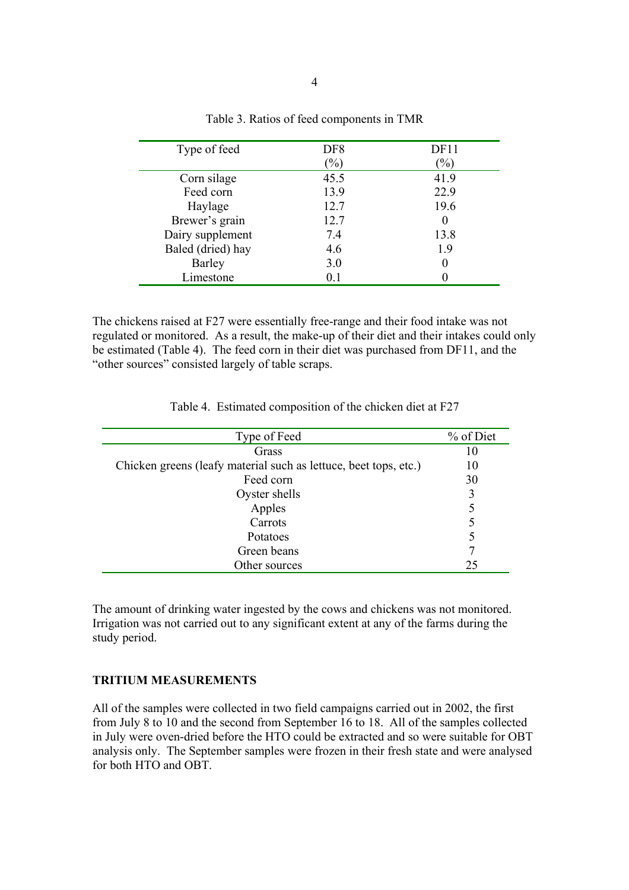| Type of feed      | DF <sub>8</sub>            | DF11   |
|-------------------|----------------------------|--------|
|                   | $\left(\frac{9}{0}\right)$ | $(\%)$ |
| Corn silage       | 45.5                       | 41.9   |
| Feed corn         | 13.9                       | 22.9   |
| Haylage           | 12.7                       | 19.6   |
| Brewer's grain    | 12.7                       | 0      |
| Dairy supplement  | 7.4                        | 13.8   |
| Baled (dried) hay | 4.6                        | 1.9    |
| <b>Barley</b>     | 3.0                        |        |
| Limestone         | 0.1                        |        |

Table 3. Ratios of feed components in TMR

The chickens raised at F27 were essentially free-range and their food intake was not regulated or monitored. As a result, the make-up of their diet and their intakes could only be estimated (Table 4). The feed corn in their diet was purchased from DF11, and the "other sources" consisted largely of table scraps.

Table 4. Estimated composition of the chicken diet at F27

| Type of Feed                                                     | % of Diet |
|------------------------------------------------------------------|-----------|
| Grass                                                            | 10        |
| Chicken greens (leafy material such as lettuce, beet tops, etc.) | 10        |
| Feed corn                                                        | 30        |
| Oyster shells                                                    | 3         |
| Apples                                                           | 5         |
| Carrots                                                          | 5         |
| Potatoes                                                         | 5         |
| Green beans                                                      |           |
| Other sources                                                    | 25        |

The amount of drinking water ingested by the cows and chickens was not monitored. Irrigation was not carried out to any significant extent at any of the farms during the study period.

#### **TRITIUM MEASUREMENTS**

All of the samples were collected in two field campaigns carried out in 2002, the first from July 8 to 10 and the second from September 16 to 18. All of the samples collected in July were oven-dried before the HTO could be extracted and so were suitable for OBT analysis only. The September samples were frozen in their fresh state and were analysed for both HTO and OBT.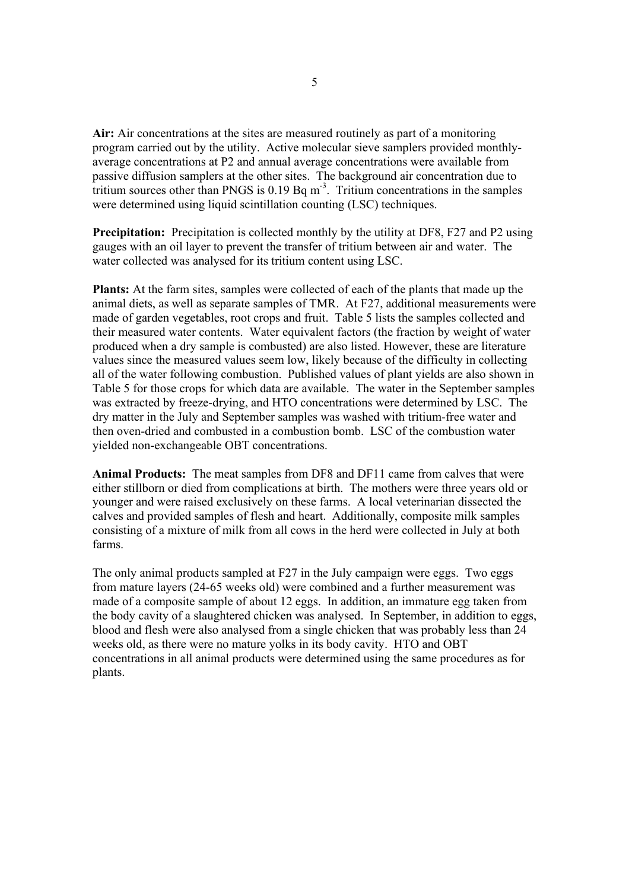**Air:** Air concentrations at the sites are measured routinely as part of a monitoring program carried out by the utility. Active molecular sieve samplers provided monthlyaverage concentrations at P2 and annual average concentrations were available from passive diffusion samplers at the other sites. The background air concentration due to tritium sources other than PNGS is  $0.19$  Bq m<sup>-3</sup>. Tritium concentrations in the samples were determined using liquid scintillation counting (LSC) techniques.

**Precipitation:** Precipitation is collected monthly by the utility at DF8, F27 and P2 using gauges with an oil layer to prevent the transfer of tritium between air and water. The water collected was analysed for its tritium content using LSC.

**Plants:** At the farm sites, samples were collected of each of the plants that made up the animal diets, as well as separate samples of TMR. At F27, additional measurements were made of garden vegetables, root crops and fruit. Table 5 lists the samples collected and their measured water contents. Water equivalent factors (the fraction by weight of water produced when a dry sample is combusted) are also listed. However, these are literature values since the measured values seem low, likely because of the difficulty in collecting all of the water following combustion. Published values of plant yields are also shown in Table 5 for those crops for which data are available. The water in the September samples was extracted by freeze-drying, and HTO concentrations were determined by LSC. The dry matter in the July and September samples was washed with tritium-free water and then oven-dried and combusted in a combustion bomb. LSC of the combustion water yielded non-exchangeable OBT concentrations.

**Animal Products:** The meat samples from DF8 and DF11 came from calves that were either stillborn or died from complications at birth. The mothers were three years old or younger and were raised exclusively on these farms. A local veterinarian dissected the calves and provided samples of flesh and heart. Additionally, composite milk samples consisting of a mixture of milk from all cows in the herd were collected in July at both farms.

The only animal products sampled at F27 in the July campaign were eggs. Two eggs from mature layers (24-65 weeks old) were combined and a further measurement was made of a composite sample of about 12 eggs. In addition, an immature egg taken from the body cavity of a slaughtered chicken was analysed. In September, in addition to eggs, blood and flesh were also analysed from a single chicken that was probably less than 24 weeks old, as there were no mature yolks in its body cavity. HTO and OBT concentrations in all animal products were determined using the same procedures as for plants.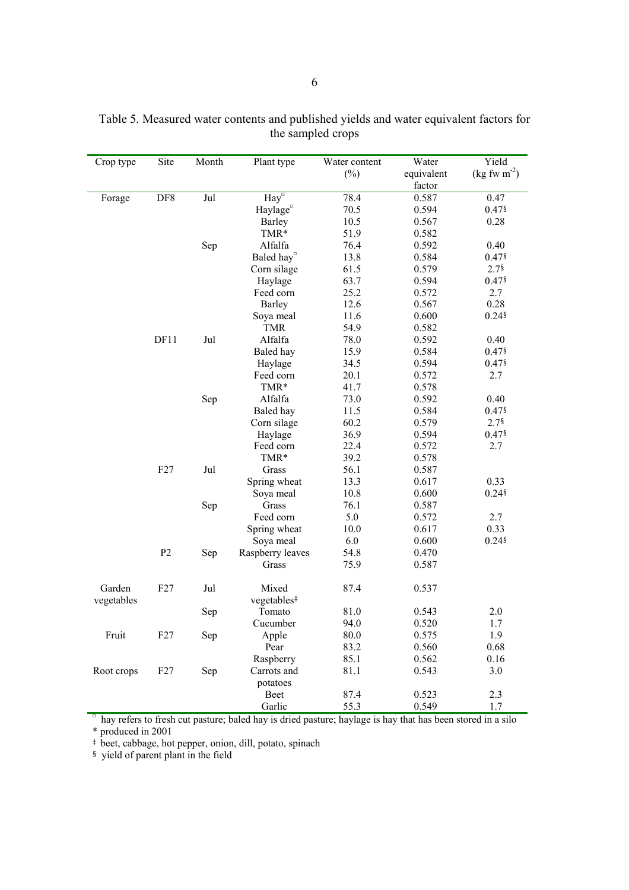| Crop type  | Site           | Month | Plant type                                                                                                 | Water content | Water      | Yield                                   |
|------------|----------------|-------|------------------------------------------------------------------------------------------------------------|---------------|------------|-----------------------------------------|
|            |                |       |                                                                                                            | $(\%)$        | equivalent | $(\text{kg} \text{ fw } \text{m}^{-2})$ |
|            |                |       |                                                                                                            |               | factor     |                                         |
| Forage     | DF8            | Jul   | $\overline{\text{Hay}^{\text{u}}}$                                                                         | 78.4          | 0.587      | 0.47                                    |
|            |                |       | Haylage <sup>¤</sup>                                                                                       | 70.5          | 0.594      | $0.47$ §                                |
|            |                |       | <b>Barley</b>                                                                                              | 10.5          | 0.567      | 0.28                                    |
|            |                |       | TMR*                                                                                                       | 51.9          | 0.582      |                                         |
|            |                | Sep   | Alfalfa                                                                                                    | 76.4          | 0.592      | 0.40                                    |
|            |                |       | Baled hay <sup>¤</sup>                                                                                     | 13.8          | 0.584      | $0.47$ §                                |
|            |                |       | Corn silage                                                                                                | 61.5          | 0.579      | $2.7$ <sup>§</sup>                      |
|            |                |       | Haylage                                                                                                    | 63.7          | 0.594      | 0.47§                                   |
|            |                |       | Feed corn                                                                                                  | 25.2          | 0.572      | 2.7                                     |
|            |                |       | <b>Barley</b>                                                                                              | 12.6          | 0.567      | 0.28                                    |
|            |                |       | Soya meal                                                                                                  | 11.6          | 0.600      | $0.24$ §                                |
|            |                |       | <b>TMR</b>                                                                                                 | 54.9          | 0.582      |                                         |
|            | DF11           | Jul   | Alfalfa                                                                                                    | 78.0          | 0.592      | 0.40                                    |
|            |                |       | Baled hay                                                                                                  | 15.9          | 0.584      | $0.47$ §                                |
|            |                |       | Haylage                                                                                                    | 34.5          | 0.594      | $0.47$ §                                |
|            |                |       | Feed corn                                                                                                  | 20.1          | 0.572      | 2.7                                     |
|            |                |       | TMR*                                                                                                       | 41.7          | 0.578      |                                         |
|            |                | Sep   | Alfalfa                                                                                                    | 73.0          | 0.592      | 0.40                                    |
|            |                |       | Baled hay                                                                                                  | 11.5          | 0.584      | 0.47§                                   |
|            |                |       | Corn silage                                                                                                | 60.2          | 0.579      | 2.7                                     |
|            |                |       | Haylage                                                                                                    | 36.9          | 0.594      | 0.47§                                   |
|            |                |       | Feed corn                                                                                                  | 22.4          | 0.572      | 2.7                                     |
|            |                |       | TMR*                                                                                                       | 39.2          | 0.578      |                                         |
|            | F27            | Jul   | Grass                                                                                                      | 56.1          | 0.587      |                                         |
|            |                |       | Spring wheat                                                                                               | 13.3          | 0.617      | 0.33                                    |
|            |                |       | Soya meal                                                                                                  | 10.8          | 0.600      | $0.24$ §                                |
|            |                | Sep   | Grass                                                                                                      | 76.1          | 0.587      |                                         |
|            |                |       | Feed corn                                                                                                  | 5.0           | 0.572      | 2.7                                     |
|            |                |       | Spring wheat                                                                                               | 10.0          | 0.617      | 0.33                                    |
|            |                |       | Soya meal                                                                                                  | 6.0           | 0.600      | $0.24$ §                                |
|            | P <sub>2</sub> | Sep   | Raspberry leaves                                                                                           | 54.8          | 0.470      |                                         |
|            |                |       | Grass                                                                                                      | 75.9          | 0.587      |                                         |
|            |                |       |                                                                                                            |               |            |                                         |
| Garden     | F27            | Jul   | Mixed                                                                                                      | 87.4          | 0.537      |                                         |
| vegetables |                |       | vegetables <sup>#</sup>                                                                                    |               |            |                                         |
|            |                | Sep   | Tomato                                                                                                     | 81.0          | 0.543      | 2.0                                     |
|            |                |       | Cucumber                                                                                                   | 94.0          | 0.520      | 1.7                                     |
| Fruit      | F27            | Sep   | Apple                                                                                                      | 80.0          | 0.575      | 1.9                                     |
|            |                |       | Pear                                                                                                       | 83.2          | 0.560      | 0.68                                    |
|            |                |       | Raspberry                                                                                                  | 85.1          | 0.562      | 0.16                                    |
| Root crops | F27            | Sep   | Carrots and                                                                                                | 81.1          | 0.543      | 3.0                                     |
|            |                |       | potatoes                                                                                                   |               |            |                                         |
|            |                |       | Beet                                                                                                       | 87.4          | 0.523      | 2.3                                     |
|            |                |       | Garlic                                                                                                     | 55.3          | 0.549      | 1.7                                     |
|            |                |       | hay refers to fresh cut pasture; baled hay is dried pasture; haylage is hay that has been stored in a silo |               |            |                                         |

Table 5. Measured water contents and published yields and water equivalent factors for the sampled crops

\* produced in 2001

‡ beet, cabbage, hot pepper, onion, dill, potato, spinach

§ yield of parent plant in the field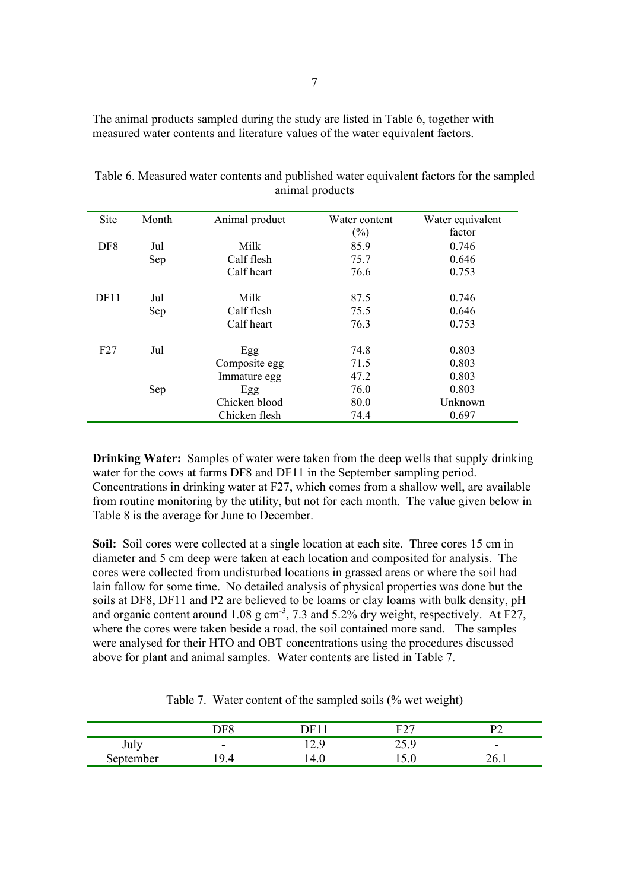The animal products sampled during the study are listed in Table 6, together with measured water contents and literature values of the water equivalent factors.

| <b>Site</b>     | Month | Animal product | Water content              | Water equivalent |
|-----------------|-------|----------------|----------------------------|------------------|
|                 |       |                | $\left(\frac{0}{0}\right)$ | factor           |
| DF <sub>8</sub> | Jul   | Milk           | 85.9                       | 0.746            |
|                 | Sep   | Calf flesh     | 75.7                       | 0.646            |
|                 |       | Calf heart     | 76.6                       | 0.753            |
| DF11            | Jul   | Milk           | 87.5                       | 0.746            |
|                 | Sep   | Calf flesh     | 75.5                       | 0.646            |
|                 |       | Calf heart     | 76.3                       | 0.753            |
| F27             | Jul   | Egg            | 74.8                       | 0.803            |
|                 |       | Composite egg  | 71.5                       | 0.803            |
|                 |       | Immature egg   | 47.2                       | 0.803            |
|                 | Sep   | Egg            | 76.0                       | 0.803            |
|                 |       | Chicken blood  | 80.0                       | Unknown          |
|                 |       | Chicken flesh  | 74.4                       | 0.697            |

Table 6. Measured water contents and published water equivalent factors for the sampled animal products

**Drinking Water:** Samples of water were taken from the deep wells that supply drinking water for the cows at farms DF8 and DF11 in the September sampling period. Concentrations in drinking water at F27, which comes from a shallow well, are available from routine monitoring by the utility, but not for each month. The value given below in Table 8 is the average for June to December.

**Soil:** Soil cores were collected at a single location at each site. Three cores 15 cm in diameter and 5 cm deep were taken at each location and composited for analysis. The cores were collected from undisturbed locations in grassed areas or where the soil had lain fallow for some time. No detailed analysis of physical properties was done but the soils at DF8, DF11 and P2 are believed to be loams or clay loams with bulk density, pH and organic content around 1.08 g  $cm^{-3}$ , 7.3 and 5.2% dry weight, respectively. At F27, where the cores were taken beside a road, the soil contained more sand. The samples were analysed for their HTO and OBT concentrations using the procedures discussed above for plant and animal samples. Water contents are listed in Table 7.

|           | DF8                      | )E.         | <u>гол</u><br>∼ |                          |
|-----------|--------------------------|-------------|-----------------|--------------------------|
| July      | $\overline{\phantom{0}}$ | - G<br>14.) | 75 Q<br>ر . ب   | $\overline{\phantom{0}}$ |
| September | 9.4                      | 4.U         | .J.U            | 40.I                     |

Table 7. Water content of the sampled soils (% wet weight)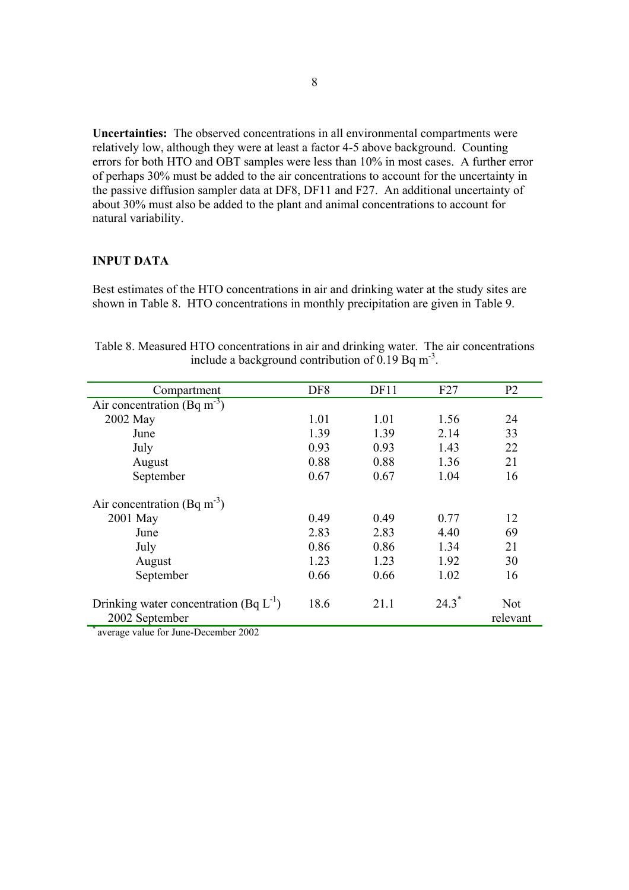**Uncertainties:** The observed concentrations in all environmental compartments were relatively low, although they were at least a factor 4-5 above background. Counting errors for both HTO and OBT samples were less than 10% in most cases. A further error of perhaps 30% must be added to the air concentrations to account for the uncertainty in the passive diffusion sampler data at DF8, DF11 and F27. An additional uncertainty of about 30% must also be added to the plant and animal concentrations to account for natural variability.

### **INPUT DATA**

Best estimates of the HTO concentrations in air and drinking water at the study sites are shown in Table 8. HTO concentrations in monthly precipitation are given in Table 9.

| Compartment                                                   | DF <sub>8</sub> | DF11 | F27  | P <sub>2</sub>         |
|---------------------------------------------------------------|-----------------|------|------|------------------------|
| Air concentration (Bq m <sup>-3</sup> )                       |                 |      |      |                        |
| 2002 May                                                      | 1.01            | 1.01 | 1.56 | 24                     |
| June                                                          | 1.39            | 1.39 | 2.14 | 33                     |
| July                                                          | 0.93            | 0.93 | 1.43 | 22                     |
| August                                                        | 0.88            | 0.88 | 1.36 | 21                     |
| September                                                     | 0.67            | 0.67 | 1.04 | 16                     |
| Air concentration (Bq m <sup>-3</sup> )                       |                 |      |      |                        |
| 2001 May                                                      | 0.49            | 0.49 | 0.77 | 12                     |
| June                                                          | 2.83            | 2.83 | 4.40 | 69                     |
| July                                                          | 0.86            | 0.86 | 1.34 | 21                     |
| August                                                        | 1.23            | 1.23 | 1.92 | 30                     |
| September                                                     | 0.66            | 0.66 | 1.02 | 16                     |
| Drinking water concentration (Bq $L^{-1}$ )<br>2002 September | 18.6            | 21.1 | 24.3 | <b>Not</b><br>relevant |

Table 8. Measured HTO concentrations in air and drinking water. The air concentrations include a background contribution of 0.19 Bq  $m<sup>-3</sup>$ .

average value for June-December 2002